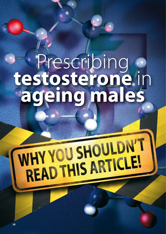# Prescribing **testosterone** in **ageing males**

# WHY YOU SHOULDN'T VHY YOU SHUULDIE!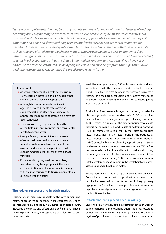*Testosterone supplementation may be an appropriate treatment for males with clinical features of androgen deficiency and early morning serum total testosterone levels consistently below the accepted threshold of normal. Testosterone supplementation is not, however, appropriate for ageing males with non-specific symptoms and signs and slowly declining testosterone levels; the risks and benefits of treatment are uncertain for these patients. A mildly subnormal testosterone level may improve with changes in lifestyle, such as reducing alcohol intake, weight loss in those who are overweight or obese or improving sleep patterns. A significant rise in prescriptions for testosterone in older males has been observed in New Zealand, as it has in other countries such as the United States, United Kingdom and Australia. If you have never had cause to prescribe testosterone in an ageing male with non-specific symptoms and signs and slowly declining testosterone levels, continue this practice and read no further…* 

#### **Key concepts**

- As seen in other countries, testosterone use in New Zealand is increasing and it is possible that some of this use may be inappropriate
- **Although testosterone levels decline with** age, the risks and benefits of testosterone supplementation in older males is unclear as appropriate randomised controlled trials have not been conducted
- The diagnosis of hypogonadism should be based on multiple signs and symptoms and consistently low testosterone levels
- **EXTENUE FACTOL** CO-morbidities and the use of some medicines can influence a patient's reproductive hormone levels and should be assessed and altered where possible to first exclude modifiable reasons for altered gonadal function
- **Formales with hypogonadism, prescribing** testosterone may be appropriate if there are no contraindications and the uncertain risks, along with the monitoring and testing requirements, are discussed with the patient

# **The role of testosterone in adult males**

Testosterone in males is responsible for the development and maintenance of typical secondary sex characteristics, such as increased facial and body hair, increased muscle growth, increased bone mass, and effects on libido.<sup>1</sup> It also has effects on energy and stamina, and psychological influences, e.g. on mood and drive.

In adult males, approximately 95% of testosterone is produced in the testes, with the remainder produced by the adrenal gland.1 The effects of testosterone in the body can derive from testosterone itself, from conversion to its active metabolite dihydrotestosterone (DHT) and conversion to oestrogen by aromatase enzymes.2

Production of testosterone is regulated by the hypothalamicpituitary-gonadal reproductive axis (HPG axis). The hypothalamus secretes gonadotropin-releasing hormone (GnRH), which in turn causes the anterior pituitary to release luteinising hormone (LH) and follicle stimulating hormone (FSH). LH stimulates Leydig cells in the testes to produce testosterone. Most of the testosterone in the body (total testosterone) is bound to sex hormone binding globulin (SHBG) or weakly bound to albumin; approximately  $1 - 3\%$  of total testosterone is non-bound (free testosterone).<sup>3</sup> While free testosterone is the fraction available for uptake and binding to androgen receptors in the tissues, measurement of free testosterone (by measuring SHBG) is not usually necessary. Total testosterone measurement is the key laboratory test for assessing gonadal function in males.

Hypogonadism can have an early or late onset, and can result from a low or absent testicular production of testosterone despite increased stimulation from the pituitary (primary hypogonadism), a failure of the appropriate output from the hypothalamus and pituitary (secondary hypogonadism) or a combination of the two.

## **Testosterone levels generally decline with age**

Unlike the relatively abrupt fall in oestrogen levels in women during menopause, in most population studies testosterone production declines very slowly with age in males. The diurnal rhythm of peak levels in the morning and lowest levels in the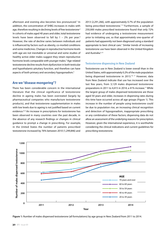afternoon and evening also becomes less pronounced.<sup>3</sup> In addition, the concentration of SHBG increases in males with age, therefore resulting in declining levels of free testosterone<sup>3</sup> In cohorts of males aged 40 years and older, total testosterone levels have been observed to fall by  $1 - 2\%$  per year.<sup>4</sup> However, the rate of decline varies between individuals and is influenced by factors such as obesity, co-morbid conditions and some medicines. Changes in reproductive hormone levels with age are not inevitable or universal and some studies of healthy active older males suggest they retain reproductive hormone levels comparable with younger males.<sup>5</sup> Age-related testosterone decline results from dysfunction in both testicular and hypothalamic-pituitary function, and therefore can have aspects of both primary and secondary hypogonadism.5

# **Are we "disease mongering"?**

There has been considerable concern in the international literature that the clinical significance of testosterone decline in ageing males has been overstated (largely by pharmaceutical companies who manufacture testosterone products), and that testosterone supplementation in males with low levels due to ageing is not justified based on current evidence.<sup>6–8</sup> An increase in prescriptions for testosterone has been observed in many countries over the past decade, in the absence of any research findings or changes in clinical guidance to prompt a change in prescribing. For example, in the United States the number of patients prescribed testosterone increased by 76% between 2010 (1,299,846) and

2013 (2,291,266), with approximately 0.7% of the population being prescribed testosterone.<sup> $7, 9$ </sup> Furthermore, a sample of 250,000 males prescribed testosterone found that only 72% had evidence of undergoing a testosterone measurement prior to initiating use, so that approximately one-quarter of patients had apparently not been diagnosed using a standard appropriate to best clinical care.<sup>7</sup> Similar trends of increasing testosterone use have been observed in the United Kingdom and Australia.<sup>6, 8</sup>

### **Testosterone dispensing in New Zealand**

Testosterone use in New Zealand is lower overall than in the United States, with approximately 0.2% of the male population being dispensed testosterone in 2013.<sup>10, 11</sup> However, data from New Zealand indicate that use has increased over the last few years, from 3,129 males dispensed testosterone preparations in 2011 to 4,415 in 2014; a 41% increase.<sup>11</sup> While the largest group of males dispensed testosterone are those aged 50 years and older, increases in dispensing rates during this time have occurred across all age groups (Figure 1). This increase in the number of people using testosterone could be due to population rise, an increasing clinical recognition and detection of hypogonadism, inappropriate prescribing or any combination of these factors; dispensing data do not allow an assessment of the underlying reasons for prescription. However, given the international experience, it is worthwhile considering the clinical indications and current guidelines for prescribing testosterone.



**Figure 1:** Number of males dispensed testosterone (all formulations) by age group in New Zealand from 2011 to 2014.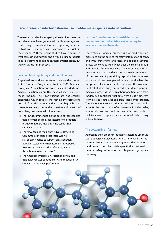# **Recent research into testosterone use in older males spells a note of caution**

Three recent studies investigating the use of testosterone in older males have generated media coverage and controversy in medical journals regarding whether testosterone use increases cardiovascular risk in these men.<sup>13-15</sup> These recent studies have recognised weaknesses in study design and it would be inappropriate to base treatment decisions on these studies alone, but their results do raise concern.

# **Reaction from regulatory and clinical bodies**

Organisations and committees such as the United States' Food and Drug Administration (FDA), American Urological Association and New Zealand's Medicines Adverse Reaction Committee have all met to discuss these findings. Their conclusions are not entirely congruent, which reflects the varying interpretations possible from the current evidence and highlights the current uncertainty surrounding the risks and benefits of prescribing testosterone in older males:

- The FDA recommended on the basis of these studies that information labels for testosterone products include that there may be an increased risk of cardiovascular disease12
- **The New Zealand Medicines Adverse Reactions** Committee concluded that there was no statistical evidence to support an association between testosterone replacement (as opposed to misuse) and myocardial infarction, venous thromboembolism or stroke<sup>16</sup>
- **The American Urological Association concluded** that evidence was contradictory and that definitive studies had not been performed<sup>17</sup>

**Lessons from the Women's Health Initiative: randomised controlled trials are necessary to evaluate risks and benefits**

The reality of medical practice is that medicines are prescribed on the basis of the safety information at hand, and with further time and research additional adverse effects can come to light which alter the balance of risks and benefits for any medicine. The current situation of testosterone use in older males is clearly reminiscent of the practice of prescribing reproductive hormones to peri- and postmenopausal females to alleviate the symptoms of menopause. In that case, the Women's Health Initiative study produced a sudden change in medical practice as the risks of hormone treatment from randomised controlled trial data were greatly different from previous data available from case control studies. There is obvious concern that a similar situation could arise for the prescription of testosterone in older males, where this practice could become widespread only to be later shown in appropriately controlled trials to carry substantial risks.

# **The bottom line – for now**

At present, there are concerns that testosterone use could cause adverse cardiovascular effects in older males but there is also a clear acknowledgement that additional randomised controlled trials specifically designed to provide safety information in this patient group are necessary.

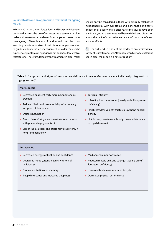# **So, is testosterone an appropriate treatment for ageing males?**

In March 2015, the United States Food and Drug Administration cautioned against the use of testosterone treatment in older males with low testosterone levels for no apparent reason other than ageing.12 There is a lack of randomised controlled trials assessing benefits and risks of testosterone supplementation to guide evidence-based management of older males who experience symptoms of hypogonadism and have low levels of testosterone. Therefore, testosterone treatment in older males should only be considered in those with clinically established hypogonadism, with symptoms and signs that significantly impact their quality of life, after reversible causes have been eliminated, other treatments had been trialled, and discussion about the lack of conclusive evidence of both benefit and adverse effects.

 $\mathbb{G}\rightarrow$  For further discussion of the evidence on cardiovascular safety of testosterone, see: "Recent research into testosterone use in older males spells a note of caution".

**Table 1:** Symptoms and signs of testosterone deficiency in males (features are not individually diagnostic of hypogonadism)<sup>5</sup>

#### **More specific**

- Decreased or absent early morning/spontaneous erection
- Reduced libido and sexual activity (often an early symptom of deficiency)
- **Exectile dysfunction**
- **Breast discomfort, gynaecomastia (more common** with primary hypogonadism)
- **Loss of facial, axillary and pubic hair (usually only if** long-term deficiency)
- **Testicular atrophy**
- Infertility, low sperm count (usually only if long-term deficiency)
- Height loss, low velocity fractures, low bone mineral density
- **Hot flushes, sweats (usually only if severe deficiency** or rapid decrease)

### **Less specific**

- Decreased energy, motivation and confidence
- **Depressed mood (often an early symptom of** deficiency)
- **Poor concentration and memory**
- **Sleep disturbance and increased sleepiness**
- **Mild anaemia (normochromic)**
- Reduced muscle bulk and strength (usually only if long-term deficiency)
- **Increased body mass index and body fat**
- Decreased physical performance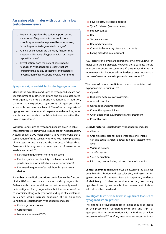# **Assessing older males with potentially low testosterone levels**

- 1. Patient history: does the patient report specific symptoms of hypogonadism, or could nonspecific symptoms be explained by other causes, including expected age-related changes?
- 2. Clinical examination: are there any features that support a diagnosis of hypogonadism or suggest a possible cause?
- 3. Investigation: does the patient have specific features of hypogonadism present, that are impacting the quality of their life, and therefore investigation of testosterone levels is warranted?

# **Symptoms, signs and risk factors for hypogonadism**

Many of the symptoms and signs of hypogonadism are nonspecific, present in other conditions and are also associated with ageing, making diagnosis challenging. In addition, patients may experience symptoms of hypogonadism at variable testosterone levels.<sup>2</sup> Therefore a diagnosis of hypogonadism is more certain in patients with multiple, more specific features consistent with low testosterone, rather than isolated symptoms.<sup>5</sup>

Symptoms and signs of hypogonadism are given in Table 1; these features are not individually diagnostic of hypogonadism. A study of over 3,000 males aged 40 to 79 years found that a combination of three sexual symptoms was highly predictive of low testosterone levels and the presence of these three features might suggest that investigation of testosterone levels is warranted: 18

- **Decreased frequency of morning erections**
- **Exectile dysfunction (inability to achieve or maintain** penile erection for satisfactory sexual performance)
- Decreased frequency of sexual thoughts (low sexual desire)

**A number of medical conditions** can influence the function of the HPG axis and are associated with hypogonadism. Patients with these conditions do not necessarily need to be investigated for hypogonadism, but the presence of the co-morbidity, along with symptoms and signs of testosterone deficiency, would increase suspicion of the diagnosis. Conditions associated with hypogonadism include: $^{2, 3, 19}$ 

- **End-stage renal disease**
- **Osteoporosis**
- **Moderate to severe COPD**
- **Severe obstructive sleep apnoea**
- **Type 2 diabetes (see note below)**
- **Pituitary tumour**
- $\blacksquare$  HIV
- **Testicular cancer**
- **Haemochromatosis**
- **Chronic inflammatory disease, e.g. arthritis**
- **Eating disorders (malnutrition)**

N.B. Testosterone levels are approximately 3 nmol/L lower in males with type 2 diabetes. However, these patients should only be prescribed testosterone if they meet diagnostic requirements for hypogonadism. Evidence does not support the use of testosterone to improve diabetes control.<sup>20</sup>

**The use of some medicines** is also associated with hypogonadism, including: $2, 3, 19$ 

- **Opioids**
- **High dose systemic corticosteroids**
- **Anabolic steroids**
- **Oestrogens and progesterones**
- **Chemotherapy medicines**
- $\blacksquare$ GnRH antagonist, e.g. prostate cancer treatment
- **Phenothiazines**

**Lifestyle factors** associated with hypogonadism include:19

- **Obesity**
- Chronic excess alcohol intake (recent alcohol intake can also cause transient decreases in total testosterone levels)
- **Vigorous exercise**
- $\blacksquare$ Significant stress
- **Sleep deprivation**
- **Illicit drug use, including misuse of anabolic steroids**

**Clinical examination** should focus on assessing the patient's body hair distribution and testicular size, and assessing for gynaecomastia. If pituitary disease is suspected, evidence of deficiency of other endocrine axes (e.g. secondary hypothyroidism, hypoadrenalism) and assessment of visual fields should be considered.

# **Investigate testosterone levels if significant features of hypogonadism are present**

The diagnosis of hypogonadism in males should be based on the presence of consistent symptoms and signs of hypogonadism in combination with a finding of a low testosterone level.<sup>5</sup> Therefore, measuring testosterone is not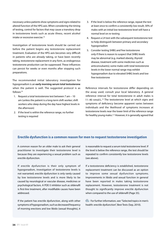necessary unless patients show symptoms and signs related to altered function of the HPG axis. When considering the timing of testing, control for factors that may cause a transitory drop in testosterone levels such as acute illness, recent alcohol intake or excessive exercise.19

Investigation of testosterone levels should be carried out before the patient begins any testosterone replacement treatment. Evaluation of the HPG axis becomes very difficult in patients who are already taking, or have been recently taking, testosterone replacement in any form, as endogenous testosterone production can be suppressed. These influences can persist for weeks or even months after stopping such preparations.

The recommended initial laboratory investigation for hypogonadism is an **early morning serum total testosterone**  when the patient is well. The suggested protocol is as follows:19

- 1. Request a total testosterone test between 7 am 10 am (unless the patient is a long-term shift worker; shift workers who sleep during the day have highest levels in the afternoon)
- 2. If the level is within the reference range, no further testing is required
- 3. If the level is below the reference range, repeat the test at least once to confirm a consistently low result; 30% of males with an initial low testosterone level will have a normal level on re-testing
- 4. Request a LH test with the subsequent testosterone test to help distinguish between primary and secondary hypogonadism
- 5. Consider testing SHBG and free testosterone only if there is reason to suspect that SHBG levels may be abnormal (e.g. marked obesity, thyroid disease, treatment with some medicines such as anticonvulsants); some males with total testosterone levels in the lower normal range may exhibit hypogonadism due to elevated SHBG levels and low free testosterone

Reference intervals for testosterone differ depending on the assay used; consult your local laboratory. A general reference interval for total testosterone in adult males is 11–40 nmol/L.<sup>19</sup> The testosterone level at which signs and symptoms of deficiency become apparent varies between individuals and the likelihood of symptoms increases at testosterone levels near the lower limit of the reference range for healthy young males.<sup>2,5</sup> However, it is generally agreed that

# **Erectile dysfunction is a common reason for men to request testosterone investigation**

A common reason for an older male to ask their general practitioner to investigate their testosterone level is because they are experiencing a sexual problem such as erectile dysfunction.

If erectile dysfunction is their only symptom of hypogonadism, investigation of testosterone levels is not warranted; erectile dysfunction is only rarely caused by low testosterone levels and is more likely to be caused by neurological or vascular disease, medicines or psychological factors. A PDE-5 inhibitor such as sildenafil is first-line treatment, after modifiable causes have been addressed.

If the patient has erectile dysfunction, along with other symptoms of hypogonadism, such as decreased frequency of morning erections and low libido (sexual thoughts), it is reasonable to request a serum total testosterone level. If the level is below the reference range, the test should be repeated to confirm consistently low testosterone levels (see above).

If a testosterone deficiency is established, testosterone replacement treatment can be discussed as an option to improve some sexual dysfunction symptoms. Improvements in libido and sexual function in general have been reported in males taking testosterone replacement. However, testosterone treatment is not thought to significantly improve erectile dysfunction when compared to the use of sildenafil (Page 35).

 $\mathbb{G}$  For further information, see: "Selected topics in men's health: erectile dysfunction", Best Tests (Sep, 2010).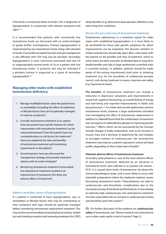if the level is consistently below 8 nmol/L, this is diagnostic of hypogonadism, in conjunction with relevant symptoms and signs. $2, 18$ 

It is recommended that patients with consistently low testosterone levels are discussed with an endocrinologist to guide further investigations. Primary hypogonadism is characterised by low testosterone levels along with elevated LH levels. If seminiferous tubule function and spermatogenesis is also affected, then FSH may also be elevated. Secondary hypogonadism is most commonly associated with low LH or inappropriately normal levels of LH in a patient with low testosterone levels.<sup>3</sup> A prolactin test may be indicated if a pituitary tumour is suspected as a cause of secondary hypogonadism.19

# **Managing older males with established testosterone deficiency**

- 1. Manage modifiable factors: does the patient have co-morbidities (including the effect of medicines) or lifestyle factors that can be optimally managed to improve symptoms?
- 2. Consider testosterone treatment as an option: Does the patient have specific features for which improvement with testosterone treatment can be measured/assessed? Does the patient have any contraindications or risk factors for treatment? Have you explained the risks and benefits of testosterone treatment and monitoring requirements to the patient?
- 3. Second opinion: have you discussed the management strategy and possible treatment options with an endocrinologist?
- 4. Monitoring testosterone treatment if prescribed: has testosterone treatment resulted in an improvement of symptoms? Are there any adverse effects of treatment?

# **Address reversible causes of hypogonadism**

If a patient is confirmed to have hypogonadism, any comorbidities or lifestyle factors that may be contributing to their symptoms and signs should be optimally managed before considering testosterone replacement treatment. This may involve recommending increased physical activity, weight loss and smoking cessation and reviewing treatment for COPD, sleep disorders (e.g. obstructive sleep apnoea), diabetes or any other long-term conditions.

#### **Discuss the pros and cons of testosterone treatment**

Testosterone replacement is a treatment option for older males with established hypogonadism; it is more likely to be worthwhile for those with specific symptoms for which improvements can be evaluated. The decision whether to initiate testosterone should take place after a discussion with the patient on the benefits and risks of treatment, which to some extent are both uncertain as detailed data on long-term health benefits and risks in large randomised controlled trials is currently lacking.<sup>5</sup> In addition, patients should be made aware of the testing requirements both prior to initiating treatment (e.g. for the possibility of undetected prostate cancer), and during treatment to assess response and safety (e.g. haemotocrit levels).

**The benefits** of testosterone treatment can include a reduction in depressive symptoms and improvements in mood and cognitive functioning, an overall feeling of energy and well-being and reported improvements in libido and sexual function.<sup>2,5</sup> For males with erectile dysfunction and low testosterone levels, however, a large randomised controlled trial investigating the effect of testosterone replacement in addition to sildenafil found that the combination of treatment was not superior to sildenafil plus placebo in improving erectile function.21 Effects which can be ascertained by the clinician include changes in body composition, such as an increase in muscle mass and a decrease in abdominal fat, and changes in surrogate markers of cardiovascular risk; testosterone treatment may improve a patient's glycaemic control and lipid profile, depending on their initial state of health.2

#### **Potential adverse effects of testosterone treatment**

Secondary polycythaemia is one of the main adverse effects of testosterone treatment, detected by an elevation in haematocrit levels (also referred to as packed cell volume – PCV). It is caused when levels of testosterone rise above the normal physiological range, and is more likely to occur with injectable preparations where the treatment regimen causes fluctuating testosterone levels.<sup>5</sup> Polycythaemia can lead to cardiovascular and thrombotic complications due to the increased viscosity of the blood and thrombosis. In men already at relatively high cardiovascular risk, testosterone treatment has been associated with an increase in cardiovascular events, and should be used with caution.<sup>22</sup>

For further discussion of the evidence on c**ardiovascular safety** of testosterone, see: "Recent research into testosterone use in older males spells a note of caution", Page 31.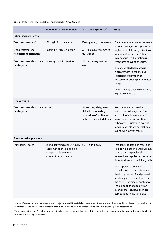# Table 2: Testosterone formulations subsidised in New Zealand<sup>2, 23</sup>

|                                                             | Amount of active ingredient*                                                                                                             | Initial dosing interval*                                                                                        | <b>Notes</b>                                                                                                                                                                                                                                                                                                                                                                                                                                                               |
|-------------------------------------------------------------|------------------------------------------------------------------------------------------------------------------------------------------|-----------------------------------------------------------------------------------------------------------------|----------------------------------------------------------------------------------------------------------------------------------------------------------------------------------------------------------------------------------------------------------------------------------------------------------------------------------------------------------------------------------------------------------------------------------------------------------------------------|
| Intramuscular injections:                                   |                                                                                                                                          |                                                                                                                 |                                                                                                                                                                                                                                                                                                                                                                                                                                                                            |
| Testosterone esters <sup>†</sup>                            | 250 mg in 1 mL injection                                                                                                                 | 250 mg, every three weeks                                                                                       | Fluctuations in testosterone levels<br>occur across injection cycle with<br>higher levels following injections,<br>tapering off over time. Patients<br>may experience fluctuations in<br>symptoms of hypogonadism.<br>Risk of elevated haematocrit<br>is greater with injections due<br>to periods of elevation of<br>testosterone above physiological<br>range.<br>To be given by deep IM injection,<br>e.g. gluteal muscle                                               |
| Depo-testosterone<br>(testosterone cipionate) <sup>+</sup>  | 1000 mg in 10 mL injection                                                                                                               | 50 - 400 mg, every two to<br>four weeks                                                                         |                                                                                                                                                                                                                                                                                                                                                                                                                                                                            |
| Testosterone undecanoate<br>(undecylate) <sup>†</sup>       | 1000 mg in 4 mL injection                                                                                                                | 1000 mg, every 10 - 14<br>weeks                                                                                 |                                                                                                                                                                                                                                                                                                                                                                                                                                                                            |
| <b>Oral capsules:</b>                                       |                                                                                                                                          |                                                                                                                 |                                                                                                                                                                                                                                                                                                                                                                                                                                                                            |
| Testosterone undecanoate 40 mg<br>(undecylate) <sup>†</sup> |                                                                                                                                          | 120-160 mg, daily, in two<br>divided doses initially,<br>reduced to 40 - 120 mg,<br>daily, in two divided doses | Recommended to be taken<br>with or immediately after food.<br>Absorption is dependent on fat<br>intake, adequate absorption<br>is, however, usually achieved as<br>long as patients are not fasting or<br>taking with low-fat meals. <sup>26</sup>                                                                                                                                                                                                                         |
| <b>Transdermal applications:</b>                            |                                                                                                                                          |                                                                                                                 |                                                                                                                                                                                                                                                                                                                                                                                                                                                                            |
| Transdermal patch                                           | 2.5 mg delivered over 24 hours, $2.5 - 7.5$ mg, daily<br>recommended to be applied<br>at 10 pm daily to mimic<br>normal circadian rhythm |                                                                                                                 | Frequently causes skin reactions<br>- including blistering and burning.<br>More than one patch will be<br>required, and applied at the same<br>time, for doses above 2.5 mg daily.<br>To be applied to intact, non-<br>scrotal skin (e.g. back, abdomen,<br>thighs, upper arms) and pressed<br>firmly in place, especially around<br>the edges; the area of application<br>should be changed to give an<br>interval of seven days between<br>applications to the same site |

\* Due to differences in testosterone salts used in injections and bioavailability, the amount of testosterone administered is not directly comparable across formulations. Dosing amount and interval should be adjusted according to response to achieve a physiological testosterone level.

† These formulations are "retail pharmacy – Specialist" which means that specialist prescription or endorsement is required for subsidy; all listed formulations are fully subsidised.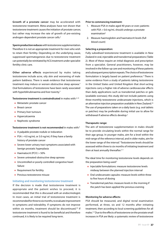**Growth of a prostate cancer** may be accelerated with testosterone treatment. Meta-analyses have not shown that testosterone treatment causes the initiation of prostate cancer, but rather may increase the rate of growth of pre-existing androgen-dependent prostate cancer cells.<sup>2</sup>

**Sperm production reduces** with testosterone supplementation. Therefore it is not an appropriate treatment for men who wish to retain their fertility. Depending on the underlying cause, suppressed spermatogenesis due to testosterone treatment can potentially be reinitiated by hCG treatment under specialist fertility clinic care.

**Other adverse effects** experienced by males taking testosterone include acne, oily skin and worsening of male pattern baldness. There is weak evidence that testosterone treatment may induce or worsen obstructive sleep apnoea.<sup>5</sup> Oral formulations of testosterone have been rarely associated with hyperbilirubinaemia and liver toxicity.<sup>5</sup>

**Testosterone treatment is contraindicated** in males with:5, 23

- **Metastatic prostate cancer**
- **Breast cancer**
- **Primary liver tumours**
- **Hypercalcaemia**
- Nephrotic syndrome

**Testosterone treatment is not recommended** in males with:5

- A palpable prostate nodule or induration
- $PSA > 4.0$  ng/mL or 3.0 ng/mL if they have a family history of prostate cancer
- Severe lower urinary tract symptoms associated with benign prostatic hyperplasia
- $\blacksquare$  Haematocrit (PCV) > 50%
- **Severe untreated obstructive sleep apnoea**
- **DED Uncontrolled or poorly controlled congestive heart** failure
- **Requirement for fertility**
- **Previous testosterone misuse**

#### **Initiating and monitoring testosterone treatment**

If the decision is made that testosterone treatment is appropriate and the patient wishes to proceed, it is recommended that this is discussed with an endocrinologist. In most cases, an initial trial of testosterone treatment is recommended for three to six months, to evaluate improvement in symptoms and tolerability. If symptoms do not improve within six months, treatment should be discontinued.<sup>24</sup> If testosterone treatment is found to be beneficial and therefore continued, it is likely to be required long-term.

#### **Prior to commencing treatment:**

- 1. Measure PSA in males aged 40 years or over; patients with PSA > 0.6 ng/mL should undergo a prostate examination<sup>5</sup>
- 2. Measure haemoglobin and haematocrit levels (full blood count)

#### **Selecting a preparation:**

Fully subsidised testosterone treatment is available in New Zealand in oral, injectable and transdermal preparations (Table 2). Most of these require an initial diagnosis and prescription from a specialist. General practitioners, however, may be involved in the follow-up care and monitoring of these patients and subsequent prescription repeats. The choice of testosterone formulation is largely based on patient preference.<sup>5</sup> There is some evidence from a study of patients taking testosterone in the United States and United Kingdom that short-acting injections carry a higher risk of adverse cardiovascular effects than daily applications such as transdermal patches or gels (available overseas); this study did not include patients using three-monthly testosterone undecanoate injections, which is an alternative injection preparation available in New Zealand.25 The use of preparations taken on a daily basis (e.g. oral tablets or patches) may be preferable during initial use to allow for withdrawal if adverse effects develop.<sup>2</sup>

#### **Therapeutic range:**

The aim of testosterone supplementation in males should be to provide circulating levels within the normal range for their age group. In younger males, aim for a level within the mid-range of the reference interval, and in older males, aim for the lower range of the interval.<sup>5</sup> Testosterone levels should be assessed within three to six months of initiating treatment and then at least annually thereafter.<sup>2, 5</sup>

The ideal time for monitoring testosterone levels depends on the preparation being used:<sup>5</sup>

- **Injectable formulations: measure testosterone levels** midway between the planned injection interval
- Oral undecanoate capsules: measure levels within three to five hours of dosing
- **Transdermal patches: measure levels in the morning if** the patch has been applied the previous evening

#### **Monitoring for adverse effects:**

PSA should be measured, and digital rectal examination performed, at three, six and 12 months after initiating treatment, then according to local screening guidelines for all males.<sup>2,5</sup> Due to the effects of testosterone on the prostate small increases in PSA are likely: a systematic review of testosterone